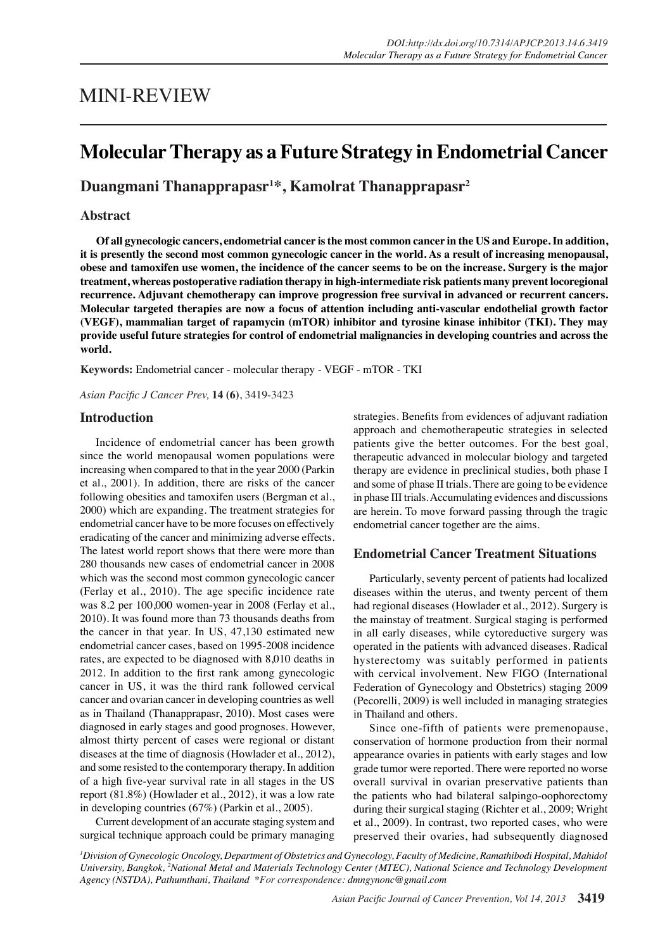# MINI-REVIEW

# **Molecular Therapy as a Future Strategy in Endometrial Cancer**

**Duangmani Thanapprapasr1 \*, Kamolrat Thanapprapasr2**

## **Abstract**

**Of all gynecologic cancers, endometrial cancer is the most common cancer in the US and Europe. In addition, it is presently the second most common gynecologic cancer in the world. As a result of increasing menopausal, obese and tamoxifen use women, the incidence of the cancer seems to be on the increase. Surgery is the major treatment, whereas postoperative radiation therapy in high-intermediate risk patients many prevent locoregional recurrence. Adjuvant chemotherapy can improve progression free survival in advanced or recurrent cancers. Molecular targeted therapies are now a focus of attention including anti-vascular endothelial growth factor (VEGF), mammalian target of rapamycin (mTOR) inhibitor and tyrosine kinase inhibitor (TKI). They may provide useful future strategies for control of endometrial malignancies in developing countries and across the world.** 

**Keywords:** Endometrial cancer - molecular therapy - VEGF - mTOR - TKI

*Asian Pacific J Cancer Prev,* **14 (6)**, 3419-3423

### **Introduction**

Incidence of endometrial cancer has been growth since the world menopausal women populations were increasing when compared to that in the year 2000 (Parkin et al., 2001). In addition, there are risks of the cancer following obesities and tamoxifen users (Bergman et al., 2000) which are expanding. The treatment strategies for endometrial cancer have to be more focuses on effectively eradicating of the cancer and minimizing adverse effects. The latest world report shows that there were more than 280 thousands new cases of endometrial cancer in 2008 which was the second most common gynecologic cancer (Ferlay et al., 2010). The age specific incidence rate was 8.2 per 100,000 women-year in 2008 (Ferlay et al., 2010). It was found more than 73 thousands deaths from the cancer in that year. In US, 47,130 estimated new endometrial cancer cases, based on 1995-2008 incidence rates, are expected to be diagnosed with 8,010 deaths in 2012. In addition to the first rank among gynecologic cancer in US, it was the third rank followed cervical cancer and ovarian cancer in developing countries as well as in Thailand (Thanapprapasr, 2010). Most cases were diagnosed in early stages and good prognoses. However, almost thirty percent of cases were regional or distant diseases at the time of diagnosis (Howlader et al., 2012), and some resisted to the contemporary therapy. In addition of a high five-year survival rate in all stages in the US report (81.8%) (Howlader et al., 2012), it was a low rate in developing countries (67%) (Parkin et al., 2005).

Current development of an accurate staging system and surgical technique approach could be primary managing

strategies. Benefits from evidences of adjuvant radiation approach and chemotherapeutic strategies in selected patients give the better outcomes. For the best goal, therapeutic advanced in molecular biology and targeted therapy are evidence in preclinical studies, both phase I and some of phase II trials. There are going to be evidence in phase III trials. Accumulating evidences and discussions are herein. To move forward passing through the tragic endometrial cancer together are the aims.

### **Endometrial Cancer Treatment Situations**

Particularly, seventy percent of patients had localized diseases within the uterus, and twenty percent of them had regional diseases (Howlader et al., 2012). Surgery is the mainstay of treatment. Surgical staging is performed in all early diseases, while cytoreductive surgery was operated in the patients with advanced diseases. Radical hysterectomy was suitably performed in patients with cervical involvement. New FIGO (International Federation of Gynecology and Obstetrics) staging 2009 (Pecorelli, 2009) is well included in managing strategies in Thailand and others.

Since one-fifth of patients were premenopause, conservation of hormone production from their normal appearance ovaries in patients with early stages and low grade tumor were reported. There were reported no worse overall survival in ovarian preservative patients than the patients who had bilateral salpingo-oophorectomy during their surgical staging (Richter et al., 2009; Wright et al., 2009). In contrast, two reported cases, who were preserved their ovaries, had subsequently diagnosed

*1 Division of Gynecologic Oncology, Department of Obstetrics and Gynecology, Faculty of Medicine, Ramathibodi Hospital, Mahidol*  University, Bangkok, <sup>2</sup>National Metal and Materials Technology Center (MTEC), National Science and Technology Development *Agency (NSTDA), Pathumthani, Thailand \*For correspondence: dmngynonc@gmail.com*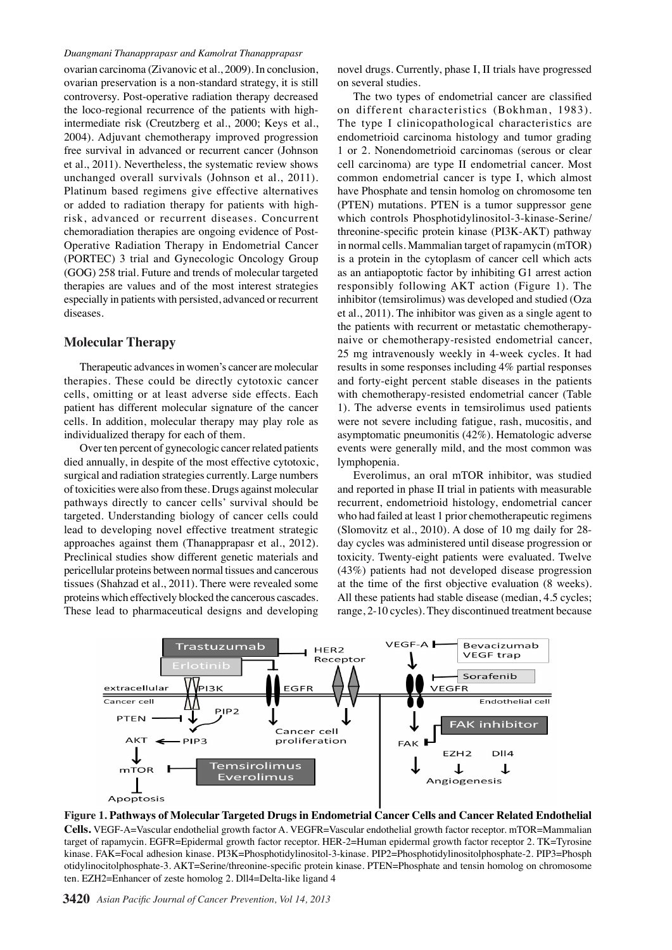### *Duangmani Thanapprapasr and Kamolrat Thanapprapasr*

ovarian carcinoma (Zivanovic et al., 2009). In conclusion, ovarian preservation is a non-standard strategy, it is still controversy. Post-operative radiation therapy decreased the loco-regional recurrence of the patients with highintermediate risk (Creutzberg et al., 2000; Keys et al., 2004). Adjuvant chemotherapy improved progression free survival in advanced or recurrent cancer (Johnson et al., 2011). Nevertheless, the systematic review shows unchanged overall survivals (Johnson et al., 2011). Platinum based regimens give effective alternatives or added to radiation therapy for patients with highrisk, advanced or recurrent diseases. Concurrent chemoradiation therapies are ongoing evidence of Post-Operative Radiation Therapy in Endometrial Cancer (PORTEC) 3 trial and Gynecologic Oncology Group (GOG) 258 trial. Future and trends of molecular targeted therapies are values and of the most interest strategies especially in patients with persisted, advanced or recurrent diseases.

### **Molecular Therapy**

Therapeutic advances in women's cancer are molecular therapies. These could be directly cytotoxic cancer cells, omitting or at least adverse side effects. Each patient has different molecular signature of the cancer cells. In addition, molecular therapy may play role as individualized therapy for each of them.

Over ten percent of gynecologic cancer related patients died annually, in despite of the most effective cytotoxic, surgical and radiation strategies currently. Large numbers of toxicities were also from these. Drugs against molecular pathways directly to cancer cells' survival should be targeted. Understanding biology of cancer cells could lead to developing novel effective treatment strategic approaches against them (Thanapprapasr et al., 2012). Preclinical studies show different genetic materials and pericellular proteins between normal tissues and cancerous tissues (Shahzad et al., 2011). There were revealed some proteins which effectively blocked the cancerous cascades. These lead to pharmaceutical designs and developing

novel drugs. Currently, phase I, II trials have progressed on several studies.

The two types of endometrial cancer are classified on different characteristics (Bokhman, 1983). The type I clinicopathological characteristics are endometrioid carcinoma histology and tumor grading 1 or 2. Nonendometrioid carcinomas (serous or clear cell carcinoma) are type II endometrial cancer. Most common endometrial cancer is type I, which almost have Phosphate and tensin homolog on chromosome ten (PTEN) mutations. PTEN is a tumor suppressor gene which controls Phosphotidylinositol-3-kinase-Serine/ threonine-specific protein kinase (PI3K-AKT) pathway in normal cells. Mammalian target of rapamycin (mTOR) is a protein in the cytoplasm of cancer cell which acts as an antiapoptotic factor by inhibiting G1 arrest action responsibly following AKT action (Figure 1). The inhibitor (temsirolimus) was developed and studied (Oza et al., 2011). The inhibitor was given as a single agent to the patients with recurrent or metastatic chemotherapynaive or chemotherapy-resisted endometrial cancer, 25 mg intravenously weekly in 4-week cycles. It had results in some responses including 4% partial responses and forty-eight percent stable diseases in the patients with chemotherapy-resisted endometrial cancer (Table 1). The adverse events in temsirolimus used patients were not severe including fatigue, rash, mucositis, and asymptomatic pneumonitis (42%). Hematologic adverse events were generally mild, and the most common was lymphopenia.

Everolimus, an oral mTOR inhibitor, was studied and reported in phase II trial in patients with measurable recurrent, endometrioid histology, endometrial cancer who had failed at least 1 prior chemotherapeutic regimens (Slomovitz et al., 2010). A dose of 10 mg daily for 28 day cycles was administered until disease progression or toxicity. Twenty-eight patients were evaluated. Twelve (43%) patients had not developed disease progression at the time of the first objective evaluation (8 weeks). All these patients had stable disease (median, 4.5 cycles; range, 2-10 cycles). They discontinued treatment because



**Figure 1. Pathways of Molecular Targeted Drugs in Endometrial Cancer Cells and Cancer Related Endothelial Cells.** VEGF-A=Vascular endothelial growth factor A. VEGFR=Vascular endothelial growth factor receptor. mTOR=Mammalian target of rapamycin. EGFR=Epidermal growth factor receptor. HER-2=Human epidermal growth factor receptor 2. TK=Tyrosine kinase. FAK=Focal adhesion kinase. PI3K=Phosphotidylinositol-3-kinase. PIP2=Phosphotidylinositolphosphate-2. PIP3=Phosph otidylinocitolphosphate-3. AKT=Serine/threonine-specific protein kinase. PTEN=Phosphate and tensin homolog on chromosome ten. EZH2=Enhancer of zeste homolog 2. Dll4=Delta-like ligand 4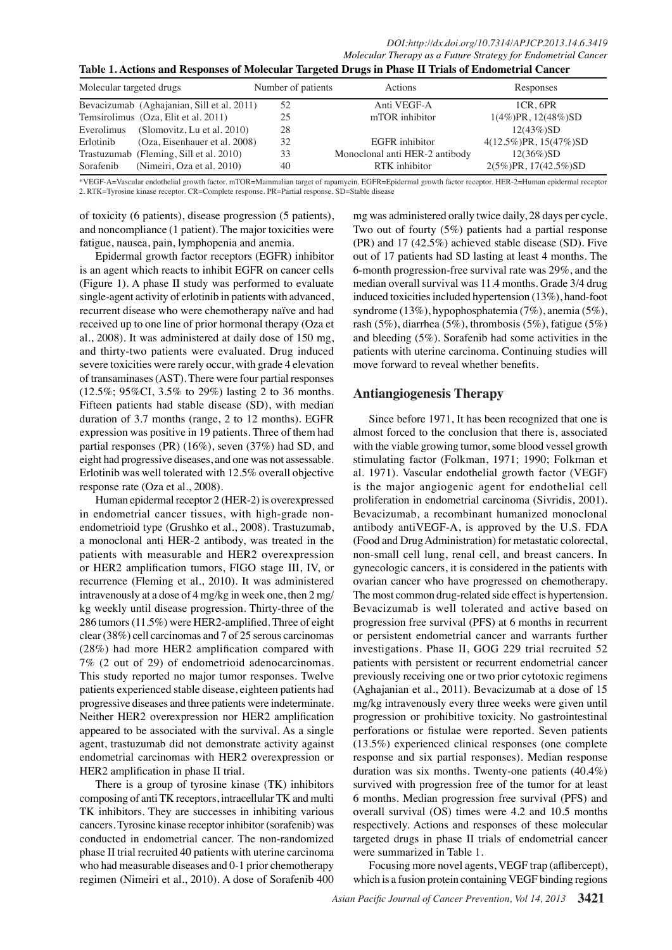*DOI:http://dx.doi.org/10.7314/APJCP.2013.14.6.3419 Molecular Therapy as a Future Strategy for Endometrial Cancer*

**Table 1. Actions and Responses of Molecular Targeted Drugs in Phase II Trials of Endometrial Cancer**

| Molecular targeted drugs |                                            | Number of patients | Actions                        | Responses                     |
|--------------------------|--------------------------------------------|--------------------|--------------------------------|-------------------------------|
|                          | Bevacizumab (Aghajanian, Sill et al. 2011) | 52                 | Anti VEGF-A                    | 1CR.6PR                       |
|                          | Temsirolimus (Oza, Elit et al. 2011)       | 25                 | mTOR inhibitor                 | $1(4\%)PR$ , $12(48\%)SD$     |
| Everolimus               | (Slomovitz, Lu et al. 2010)                | 28                 |                                | $12(43\%)SD$                  |
| Erlotinib                | (Oza, Eisenhauer et al. 2008)              | 32                 | EGFR inhibitor                 | $4(12.5\%)$ PR, $15(47\%)$ SD |
|                          | Trastuzumab (Fleming, Sill et al. 2010)    | 33                 | Monoclonal anti HER-2 antibody | $12(36\%)SD$                  |
| Sorafenib                | (Nimeiri, Oza et al. 2010)                 | 40                 | RTK inhibitor                  | 2(5%)PR, 17(42.5%)SD          |

\*VEGF-A=Vascular endothelial growth factor. mTOR=Mammalian target of rapamycin. EGFR=Epidermal growth factor receptor. HER-2=Human epidermal receptor 2. RTK=Tyrosine kinase receptor. CR=Complete response. PR=Partial response. SD=Stable disease

100.0

of toxicity (6 patients), disease progression (5 patients), and noncompliance (1 patient). The major toxicities were fatigue, nausea, pain, lymphopenia and anemia.

Epidermal growth factor receptors (EGFR) inhibitor 75.0 is an agent which reacts to inhibit EGFR on cancer cells (Figure 1). A phase II study was performed to evaluate single-agent activity of erlotinib in patients with advanced, 50.0 recurrent disease who were chemotherapy naïve and had received up to one line of prior hormonal therapy (Oza et al., 2008). It was administered at daily dose of 150 mg  $25.0$ and thirty-two patients were evaluated. Drug induced severe toxicities were rarely occur, with grade 4 elevation of transaminases (AST). There were four partial responses (12.5%; 95%CI, 3.5% to 29%) lasting 2 to 36 months. Fifteen patients had stable disease (SD), with median duration of 3.7 months (range, 2 to 12 months). EGFR expression was positive in 19 patients. Three of them had partial responses (PR) (16%), seven (37%) had SD, and eight had progressive diseases, and one was not assessable. Erlotinib was well tolerated with 12.5% overall objective response rate (Oza et al., 2008).

Human epidermal receptor 2 (HER-2) is overexpressed in endometrial cancer tissues, with high-grade nonendometrioid type (Grushko et al., 2008). Trastuzumab, a monoclonal anti HER-2 antibody, was treated in the patients with measurable and HER2 overexpression or HER2 amplification tumors, FIGO stage III, IV, or recurrence (Fleming et al., 2010). It was administered intravenously at a dose of 4 mg/kg in week one, then 2 mg/ kg weekly until disease progression. Thirty-three of the 286 tumors (11.5%) were HER2-amplified. Three of eight clear (38%) cell carcinomas and 7 of 25 serous carcinomas (28%) had more HER2 amplification compared with 7% (2 out of 29) of endometrioid adenocarcinomas. This study reported no major tumor responses. Twelve patients experienced stable disease, eighteen patients had progressive diseases and three patients were indeterminate. Neither HER2 overexpression nor HER2 amplification appeared to be associated with the survival. As a single agent, trastuzumab did not demonstrate activity against endometrial carcinomas with HER2 overexpression or HER2 amplification in phase II trial.

There is a group of tyrosine kinase (TK) inhibitors composing of anti TK receptors, intracellular TK and multi TK inhibitors. They are successes in inhibiting various cancers. Tyrosine kinase receptor inhibitor (sorafenib) was conducted in endometrial cancer. The non-randomized phase II trial recruited 40 patients with uterine carcinoma who had measurable diseases and 0-1 prior chemotherapy regimen (Nimeiri et al., 2010). A dose of Sorafenib 400



**20.3 6.3 10.1**

None

**12.8**

**51.1**

## **Antiangiogenesis Therapy** 0

Since  $\frac{1}{2}$  sefore 19 $\frac{1}{2}$ , It has been recognized that one is almost forced to the conclusion that the  $\frac{1}{2}$  is, associated with the viable growing tumor, some blood vessel growth stimulating factor (Folkman, 1971; 1990; Folkman et al. 1971) $\Xi$ Vascular $\chi$ ndotheli $\overline{\mathfrak{g}}$  growth factor (VEGF) is the major angiogenic agent for endothelial cell proliferation in endometrial carcinoma (Sivridis, 2001). Bevacizumab, a recombinant humanized monoclonal antibody  $\frac{2}{3}$ ntiVEGLA, is approved by the U.S. FDA (Food and Drug Administration) for metastatic colorectal, non-small cell lung, renal cell, and breast cancers. In gynecologic cancers, it is considered in the patients with ovarian cancer who have progressed on chemotherapy. The most common drug-related side effect is hypertension. Bevacizumab is well tolerated and active based on progression free survival (PFS) at 6 months in recurrent or persistent endometrial cancer and warrants further investigations. Phase II, GOG 229 trial recruited 52 patients with persistent or recurrent endometrial cancer previously receiving one or two prior cytotoxic regimens (Aghajanian et al., 2011). Bevacizumab at a dose of 15 mg/kg intravenously every three weeks were given until progression or prohibitive toxicity. No gastrointestinal perforations or fistulae were reported. Seven patients (13.5%) experienced clinical responses (one complete response and six partial responses). Median response duration was six months. Twenty-one patients (40.4%) survived with progression free of the tumor for at least 6 months. Median progression free survival (PFS) and overall survival (OS) times were 4.2 and 10.5 months respectively. Actions and responses of these molecular targeted drugs in phase II trials of endometrial cancer were summarized in Table 1. Newly diagnosed without treatment Newly deadlosed with treatment Persistence or recurrence Remission

Focusing more novel agents, VEGF trap (aflibercept), which is a fusion protein containing VEGF binding regions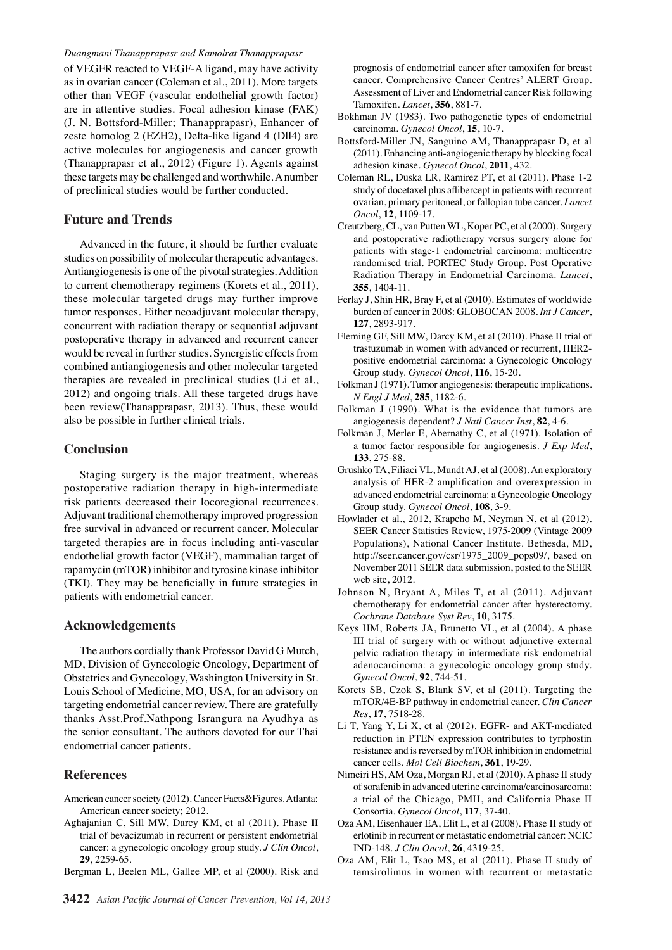### *Duangmani Thanapprapasr and Kamolrat Thanapprapasr*

of VEGFR reacted to VEGF-A ligand, may have activity as in ovarian cancer (Coleman et al., 2011). More targets other than VEGF (vascular endothelial growth factor) are in attentive studies. Focal adhesion kinase (FAK) (J. N. Bottsford-Miller; Thanapprapasr), Enhancer of zeste homolog 2 (EZH2), Delta-like ligand 4 (Dll4) are active molecules for angiogenesis and cancer growth (Thanapprapasr et al., 2012) (Figure 1). Agents against these targets may be challenged and worthwhile. A number of preclinical studies would be further conducted.

### **Future and Trends**

Advanced in the future, it should be further evaluate studies on possibility of molecular therapeutic advantages. Antiangiogenesis is one of the pivotal strategies. Addition to current chemotherapy regimens (Korets et al., 2011), these molecular targeted drugs may further improve tumor responses. Either neoadjuvant molecular therapy, concurrent with radiation therapy or sequential adjuvant postoperative therapy in advanced and recurrent cancer would be reveal in further studies. Synergistic effects from combined antiangiogenesis and other molecular targeted therapies are revealed in preclinical studies (Li et al., 2012) and ongoing trials. All these targeted drugs have been review(Thanapprapasr, 2013). Thus, these would also be possible in further clinical trials.

### **Conclusion**

Staging surgery is the major treatment, whereas postoperative radiation therapy in high-intermediate risk patients decreased their locoregional recurrences. Adjuvant traditional chemotherapy improved progression free survival in advanced or recurrent cancer. Molecular targeted therapies are in focus including anti-vascular endothelial growth factor (VEGF), mammalian target of rapamycin (mTOR) inhibitor and tyrosine kinase inhibitor (TKI). They may be beneficially in future strategies in patients with endometrial cancer.

### **Acknowledgements**

The authors cordially thank Professor David G Mutch, MD, Division of Gynecologic Oncology, Department of Obstetrics and Gynecology, Washington University in St. Louis School of Medicine, MO, USA, for an advisory on targeting endometrial cancer review. There are gratefully thanks Asst.Prof.Nathpong Israngura na Ayudhya as the senior consultant. The authors devoted for our Thai endometrial cancer patients.

### **References**

- American cancer society (2012). Cancer Facts&Figures. Atlanta: American cancer society; 2012.
- Aghajanian C, Sill MW, Darcy KM, et al (2011). Phase II trial of bevacizumab in recurrent or persistent endometrial cancer: a gynecologic oncology group study. *J Clin Oncol*, **29**, 2259-65.
- Bergman L, Beelen ML, Gallee MP, et al (2000). Risk and

prognosis of endometrial cancer after tamoxifen for breast cancer. Comprehensive Cancer Centres' ALERT Group. Assessment of Liver and Endometrial cancer Risk following Tamoxifen. *Lancet*, **356**, 881-7.

- Bokhman JV (1983). Two pathogenetic types of endometrial carcinoma. *Gynecol Oncol*, **15**, 10-7.
- Bottsford-Miller JN, Sanguino AM, Thanapprapasr D, et al (2011). Enhancing anti-angiogenic therapy by blocking focal adhesion kinase. *Gynecol Oncol*, **2011**, 432.
- Coleman RL, Duska LR, Ramirez PT, et al (2011). Phase 1-2 study of docetaxel plus aflibercept in patients with recurrent ovarian, primary peritoneal, or fallopian tube cancer. *Lancet Oncol*, **12**, 1109-17.
- Creutzberg, CL, van Putten WL, Koper PC, et al (2000). Surgery and postoperative radiotherapy versus surgery alone for patients with stage-1 endometrial carcinoma: multicentre randomised trial. PORTEC Study Group. Post Operative Radiation Therapy in Endometrial Carcinoma. *Lancet*, **355**, 1404-11.
- Ferlay J, Shin HR, Bray F, et al (2010). Estimates of worldwide burden of cancer in 2008: GLOBOCAN 2008. *Int J Cancer*, **127**, 2893-917.
- Fleming GF, Sill MW, Darcy KM, et al (2010). Phase II trial of trastuzumab in women with advanced or recurrent, HER2 positive endometrial carcinoma: a Gynecologic Oncology Group study. *Gynecol Oncol*, **116**, 15-20.
- Folkman J (1971). Tumor angiogenesis: therapeutic implications. *N Engl J Med*, **285**, 1182-6.
- Folkman J (1990). What is the evidence that tumors are angiogenesis dependent? *J Natl Cancer Inst*, **82**, 4-6.
- Folkman J, Merler E, Abernathy C, et al (1971). Isolation of a tumor factor responsible for angiogenesis. *J Exp Med*, **133**, 275-88.
- Grushko TA, Filiaci VL, Mundt AJ, et al (2008). An exploratory analysis of HER-2 amplification and overexpression in advanced endometrial carcinoma: a Gynecologic Oncology Group study. *Gynecol Oncol*, **108**, 3-9.
- Howlader et al., 2012, Krapcho M, Neyman N, et al (2012). SEER Cancer Statistics Review, 1975-2009 (Vintage 2009 Populations), National Cancer Institute. Bethesda, MD, http://seer.cancer.gov/csr/1975\_2009\_pops09/, based on November 2011 SEER data submission, posted to the SEER web site, 2012.
- Johnson N, Bryant A, Miles T, et al (2011). Adjuvant chemotherapy for endometrial cancer after hysterectomy. *Cochrane Database Syst Rev*, **10**, 3175.
- Keys HM, Roberts JA, Brunetto VL, et al (2004). A phase III trial of surgery with or without adjunctive external pelvic radiation therapy in intermediate risk endometrial adenocarcinoma: a gynecologic oncology group study. *Gynecol Oncol*, **92**, 744-51.
- Korets SB, Czok S, Blank SV, et al (2011). Targeting the mTOR/4E-BP pathway in endometrial cancer. *Clin Cancer Res*, **17**, 7518-28.
- Li T, Yang Y, Li X, et al (2012). EGFR- and AKT-mediated reduction in PTEN expression contributes to tyrphostin resistance and is reversed by mTOR inhibition in endometrial cancer cells. *Mol Cell Biochem*, **361**, 19-29.
- Nimeiri HS, AM Oza, Morgan RJ, et al (2010). A phase II study of sorafenib in advanced uterine carcinoma/carcinosarcoma: a trial of the Chicago, PMH, and California Phase II Consortia. *Gynecol Oncol*, **117**, 37-40.
- Oza AM, Eisenhauer EA, Elit L, et al (2008). Phase II study of erlotinib in recurrent or metastatic endometrial cancer: NCIC IND-148. *J Clin Oncol*, **26**, 4319-25.
- Oza AM, Elit L, Tsao MS, et al (2011). Phase II study of temsirolimus in women with recurrent or metastatic